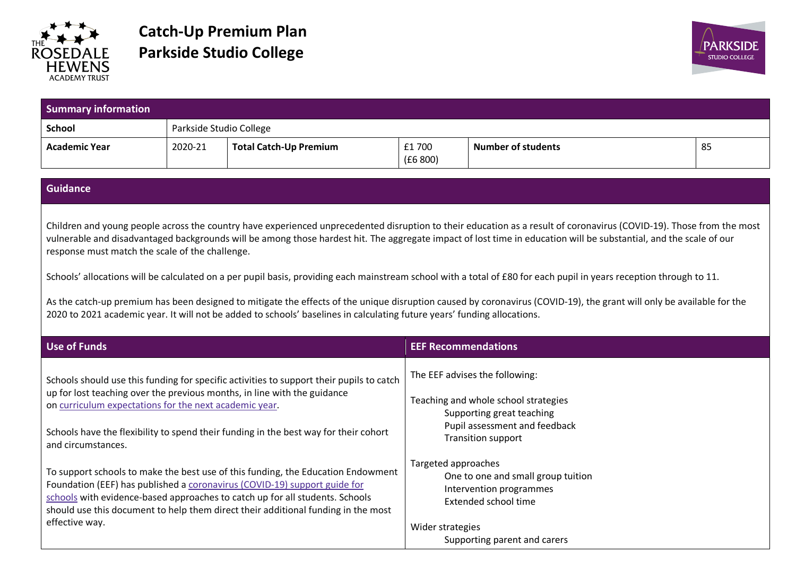

## **Catch-Up Premium Plan Parkside Studio College**



| <b>Summary information</b>                                                                                                                                                                                                                                                                                                                                                                                                                                                                                                                                                                                                                                                                                                                                                                                                                                                |                         |                                                                                                                                                                                                                                                                                                                                    |                            |                                                                                                                              |    |
|---------------------------------------------------------------------------------------------------------------------------------------------------------------------------------------------------------------------------------------------------------------------------------------------------------------------------------------------------------------------------------------------------------------------------------------------------------------------------------------------------------------------------------------------------------------------------------------------------------------------------------------------------------------------------------------------------------------------------------------------------------------------------------------------------------------------------------------------------------------------------|-------------------------|------------------------------------------------------------------------------------------------------------------------------------------------------------------------------------------------------------------------------------------------------------------------------------------------------------------------------------|----------------------------|------------------------------------------------------------------------------------------------------------------------------|----|
| <b>School</b>                                                                                                                                                                                                                                                                                                                                                                                                                                                                                                                                                                                                                                                                                                                                                                                                                                                             | Parkside Studio College |                                                                                                                                                                                                                                                                                                                                    |                            |                                                                                                                              |    |
| <b>Academic Year</b>                                                                                                                                                                                                                                                                                                                                                                                                                                                                                                                                                                                                                                                                                                                                                                                                                                                      | 2020-21                 | <b>Total Catch-Up Premium</b>                                                                                                                                                                                                                                                                                                      | £1700<br>(£6800)           | <b>Number of students</b>                                                                                                    | 85 |
| <b>Guidance</b>                                                                                                                                                                                                                                                                                                                                                                                                                                                                                                                                                                                                                                                                                                                                                                                                                                                           |                         |                                                                                                                                                                                                                                                                                                                                    |                            |                                                                                                                              |    |
| Children and young people across the country have experienced unprecedented disruption to their education as a result of coronavirus (COVID-19). Those from the most<br>vulnerable and disadvantaged backgrounds will be among those hardest hit. The aggregate impact of lost time in education will be substantial, and the scale of our<br>response must match the scale of the challenge.<br>Schools' allocations will be calculated on a per pupil basis, providing each mainstream school with a total of £80 for each pupil in years reception through to 11.<br>As the catch-up premium has been designed to mitigate the effects of the unique disruption caused by coronavirus (COVID-19), the grant will only be available for the<br>2020 to 2021 academic year. It will not be added to schools' baselines in calculating future years' funding allocations. |                         |                                                                                                                                                                                                                                                                                                                                    |                            |                                                                                                                              |    |
| <b>Use of Funds</b>                                                                                                                                                                                                                                                                                                                                                                                                                                                                                                                                                                                                                                                                                                                                                                                                                                                       |                         |                                                                                                                                                                                                                                                                                                                                    | <b>EEF Recommendations</b> |                                                                                                                              |    |
| Schools should use this funding for specific activities to support their pupils to catch<br>up for lost teaching over the previous months, in line with the guidance<br>on curriculum expectations for the next academic year.<br>Schools have the flexibility to spend their funding in the best way for their cohort<br>and circumstances.                                                                                                                                                                                                                                                                                                                                                                                                                                                                                                                              |                         | The EEF advises the following:<br>Teaching and whole school strategies<br>Supporting great teaching<br>Pupil assessment and feedback<br><b>Transition support</b><br>Targeted approaches                                                                                                                                           |                            |                                                                                                                              |    |
| effective way.                                                                                                                                                                                                                                                                                                                                                                                                                                                                                                                                                                                                                                                                                                                                                                                                                                                            |                         | To support schools to make the best use of this funding, the Education Endowment<br>Foundation (EEF) has published a coronavirus (COVID-19) support guide for<br>schools with evidence-based approaches to catch up for all students. Schools<br>should use this document to help them direct their additional funding in the most | Wider strategies           | One to one and small group tuition<br>Intervention programmes<br><b>Extended school time</b><br>Supporting parent and carers |    |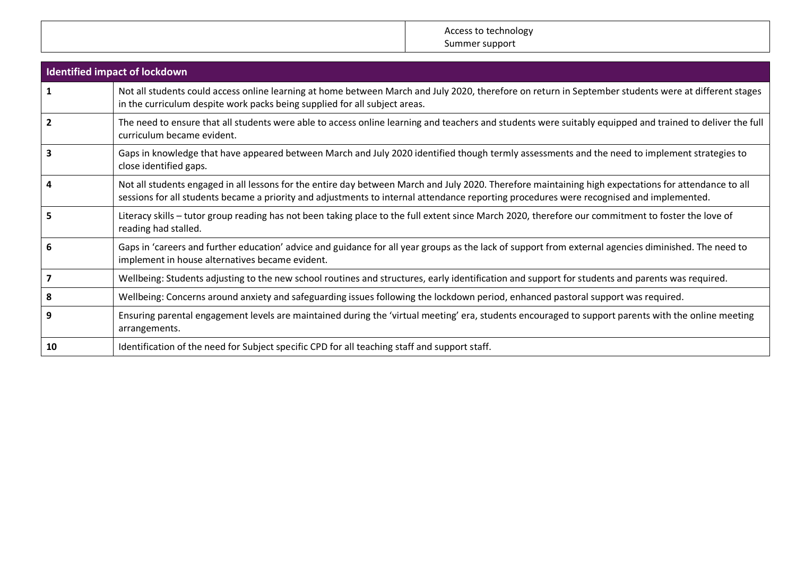Access to technology Summer support

| <b>Identified impact of lockdown</b> |                                                                                                                                                                                                                                                                                                   |  |  |  |
|--------------------------------------|---------------------------------------------------------------------------------------------------------------------------------------------------------------------------------------------------------------------------------------------------------------------------------------------------|--|--|--|
| $\mathbf{1}$                         | Not all students could access online learning at home between March and July 2020, therefore on return in September students were at different stages<br>in the curriculum despite work packs being supplied for all subject areas.                                                               |  |  |  |
| $\overline{2}$                       | The need to ensure that all students were able to access online learning and teachers and students were suitably equipped and trained to deliver the full<br>curriculum became evident.                                                                                                           |  |  |  |
|                                      | Gaps in knowledge that have appeared between March and July 2020 identified though termly assessments and the need to implement strategies to<br>close identified gaps.                                                                                                                           |  |  |  |
|                                      | Not all students engaged in all lessons for the entire day between March and July 2020. Therefore maintaining high expectations for attendance to all<br>sessions for all students became a priority and adjustments to internal attendance reporting procedures were recognised and implemented. |  |  |  |
|                                      | Literacy skills – tutor group reading has not been taking place to the full extent since March 2020, therefore our commitment to foster the love of<br>reading had stalled.                                                                                                                       |  |  |  |
|                                      | Gaps in 'careers and further education' advice and guidance for all year groups as the lack of support from external agencies diminished. The need to<br>implement in house alternatives became evident.                                                                                          |  |  |  |
|                                      | Wellbeing: Students adjusting to the new school routines and structures, early identification and support for students and parents was required.                                                                                                                                                  |  |  |  |
| 8                                    | Wellbeing: Concerns around anxiety and safeguarding issues following the lockdown period, enhanced pastoral support was required.                                                                                                                                                                 |  |  |  |
|                                      | Ensuring parental engagement levels are maintained during the 'virtual meeting' era, students encouraged to support parents with the online meeting<br>arrangements.                                                                                                                              |  |  |  |
| 10                                   | Identification of the need for Subject specific CPD for all teaching staff and support staff.                                                                                                                                                                                                     |  |  |  |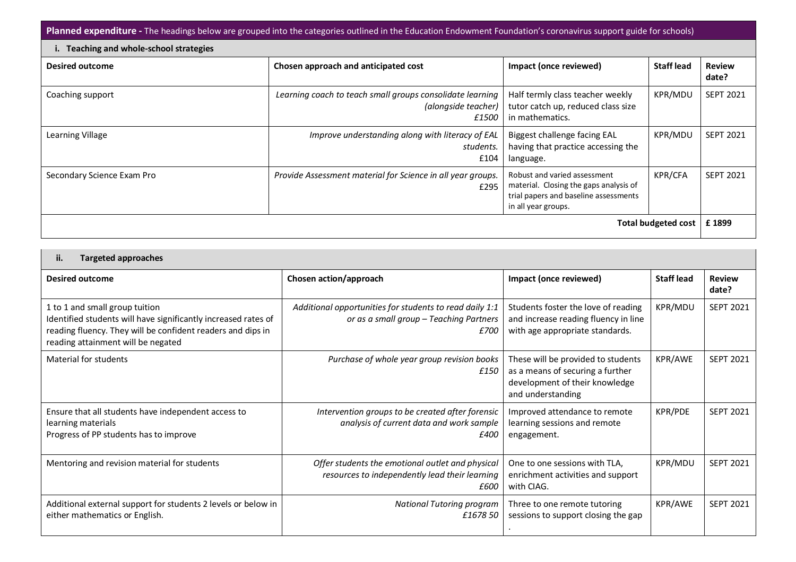Planned expenditure - The headings below are grouped into the categories outlined in the Education Endowment Foundation's coronavirus support guide for schools)

| i. Teaching and whole-school strategies |                                                                                           |                                                                                                                                        |                   |                        |
|-----------------------------------------|-------------------------------------------------------------------------------------------|----------------------------------------------------------------------------------------------------------------------------------------|-------------------|------------------------|
| <b>Desired outcome</b>                  | Chosen approach and anticipated cost                                                      | Impact (once reviewed)                                                                                                                 | <b>Staff lead</b> | <b>Review</b><br>date? |
| Coaching support                        | Learning coach to teach small groups consolidate learning<br>(alongside teacher)<br>£1500 | Half termly class teacher weekly<br>tutor catch up, reduced class size<br>in mathematics.                                              | KPR/MDL           | <b>SEPT 2021</b>       |
| Learning Village                        | Improve understanding along with literacy of EAL<br>students.<br>£104                     | Biggest challenge facing EAL<br>having that practice accessing the<br>language.                                                        | KPR/MDL           | <b>SEPT 2021</b>       |
| Secondary Science Exam Pro              | Provide Assessment material for Science in all year groups.<br>£295                       | Robust and varied assessment<br>material. Closing the gaps analysis of<br>trial papers and baseline assessments<br>in all year groups. | <b>KPR/CFA</b>    | <b>SEPT 2021</b>       |
| Total budgeted cost                     |                                                                                           |                                                                                                                                        |                   | £1899                  |

## **ii. Targeted approaches**

| <b>Desired outcome</b>                                                                                                                                                                                | Chosen action/approach                                                                                      | Impact (once reviewed)                                                                                                        | <b>Staff lead</b> | <b>Review</b><br>date? |
|-------------------------------------------------------------------------------------------------------------------------------------------------------------------------------------------------------|-------------------------------------------------------------------------------------------------------------|-------------------------------------------------------------------------------------------------------------------------------|-------------------|------------------------|
| 1 to 1 and small group tuition<br>Identified students will have significantly increased rates of<br>reading fluency. They will be confident readers and dips in<br>reading attainment will be negated | Additional opportunities for students to read daily 1:1<br>or as a small group - Teaching Partners<br>£700  | Students foster the love of reading<br>and increase reading fluency in line<br>with age appropriate standards.                | KPR/MDU           | <b>SEPT 2021</b>       |
| Material for students                                                                                                                                                                                 | Purchase of whole year group revision books<br>£150                                                         | These will be provided to students<br>as a means of securing a further<br>development of their knowledge<br>and understanding | KPR/AWE           | <b>SEPT 2021</b>       |
| Ensure that all students have independent access to<br>learning materials<br>Progress of PP students has to improve                                                                                   | Intervention groups to be created after forensic<br>analysis of current data and work sample<br><i>£400</i> | Improved attendance to remote<br>learning sessions and remote<br>engagement.                                                  | KPR/PDE           | <b>SEPT 2021</b>       |
| Mentoring and revision material for students                                                                                                                                                          | Offer students the emotional outlet and physical<br>resources to independently lead their learning<br>£600  | One to one sessions with TLA,<br>enrichment activities and support<br>with CIAG.                                              | KPR/MDU           | <b>SEPT 2021</b>       |
| Additional external support for students 2 levels or below in<br>either mathematics or English.                                                                                                       | <b>National Tutoring program</b><br>£1678 50                                                                | Three to one remote tutoring<br>sessions to support closing the gap                                                           | KPR/AWE           | <b>SEPT 2021</b>       |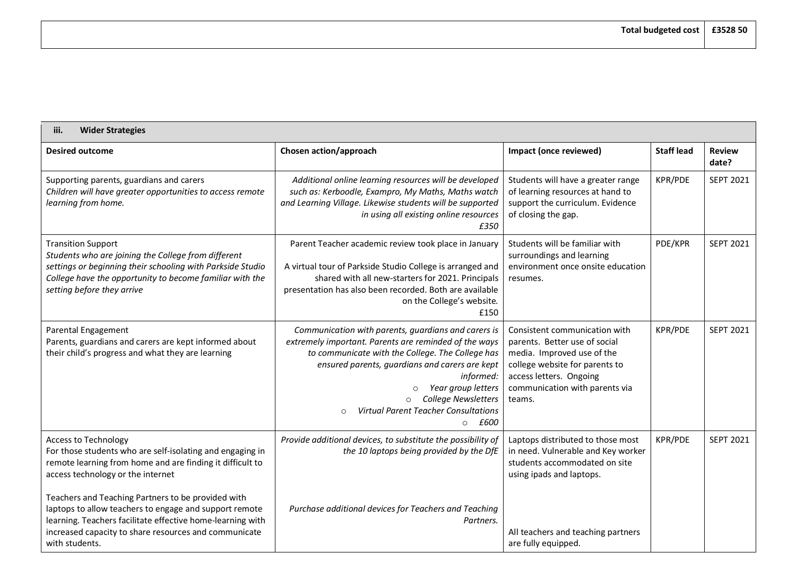## **iii. Wider Strategies**

| <b>Desired outcome</b>                                                                                                                                                                                                                                | Chosen action/approach                                                                                                                                                                                                                                                                                                                                                | Impact (once reviewed)                                                                                                                                                                                | <b>Staff lead</b> | <b>Review</b><br>date? |
|-------------------------------------------------------------------------------------------------------------------------------------------------------------------------------------------------------------------------------------------------------|-----------------------------------------------------------------------------------------------------------------------------------------------------------------------------------------------------------------------------------------------------------------------------------------------------------------------------------------------------------------------|-------------------------------------------------------------------------------------------------------------------------------------------------------------------------------------------------------|-------------------|------------------------|
| Supporting parents, guardians and carers<br>Children will have greater opportunities to access remote<br>learning from home.                                                                                                                          | Additional online learning resources will be developed<br>such as: Kerboodle, Exampro, My Maths, Maths watch<br>and Learning Village. Likewise students will be supported<br>in using all existing online resources<br>£350                                                                                                                                           | Students will have a greater range<br>of learning resources at hand to<br>support the curriculum. Evidence<br>of closing the gap.                                                                     | KPR/PDE           | <b>SEPT 2021</b>       |
| <b>Transition Support</b><br>Students who are joining the College from different<br>settings or beginning their schooling with Parkside Studio<br>College have the opportunity to become familiar with the<br>setting before they arrive              | Parent Teacher academic review took place in January<br>A virtual tour of Parkside Studio College is arranged and<br>shared with all new-starters for 2021. Principals<br>presentation has also been recorded. Both are available<br>on the College's website.<br>£150                                                                                                | Students will be familiar with<br>surroundings and learning<br>environment once onsite education<br>resumes.                                                                                          | PDE/KPR           | <b>SEPT 2021</b>       |
| Parental Engagement<br>Parents, guardians and carers are kept informed about<br>their child's progress and what they are learning                                                                                                                     | Communication with parents, guardians and carers is<br>extremely important. Parents are reminded of the ways<br>to communicate with the College. The College has<br>ensured parents, guardians and carers are kept<br>informed:<br>Year group letters<br>$\Omega$<br>College Newsletters<br><b>Virtual Parent Teacher Consultations</b><br>$\Omega$<br>$\circ$ $f600$ | Consistent communication with<br>parents. Better use of social<br>media. Improved use of the<br>college website for parents to<br>access letters. Ongoing<br>communication with parents via<br>teams. | KPR/PDE           | <b>SEPT 2021</b>       |
| <b>Access to Technology</b><br>For those students who are self-isolating and engaging in<br>remote learning from home and are finding it difficult to<br>access technology or the internet                                                            | Provide additional devices, to substitute the possibility of<br>the 10 laptops being provided by the DfE                                                                                                                                                                                                                                                              | Laptops distributed to those most<br>in need. Vulnerable and Key worker<br>students accommodated on site<br>using ipads and laptops.                                                                  | KPR/PDE           | <b>SEPT 2021</b>       |
| Teachers and Teaching Partners to be provided with<br>laptops to allow teachers to engage and support remote<br>learning. Teachers facilitate effective home-learning with<br>increased capacity to share resources and communicate<br>with students. | Purchase additional devices for Teachers and Teaching<br>Partners.                                                                                                                                                                                                                                                                                                    | All teachers and teaching partners<br>are fully equipped.                                                                                                                                             |                   |                        |